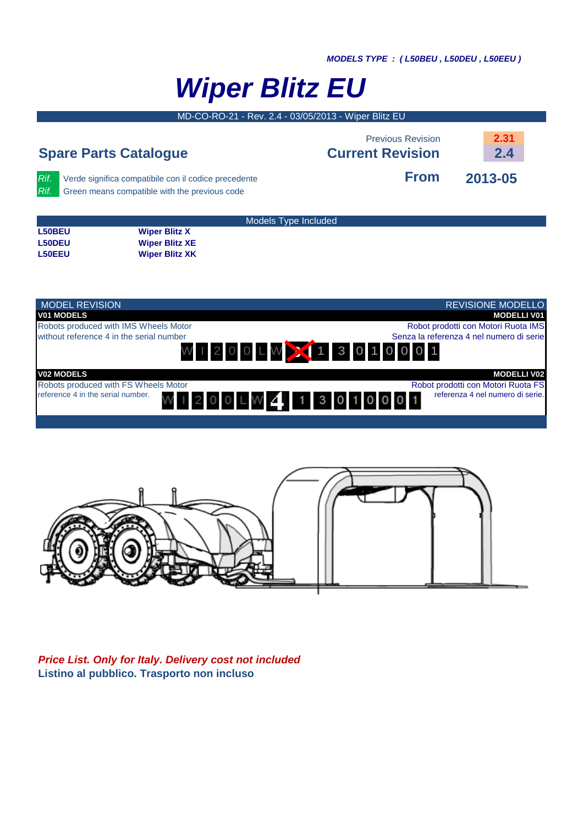D **MODELS TYPE : ( L50BEU , L50DEU , L50EEU )**

## **Wiper Blitz EU**

MD-CO-RO-21 - Rev. 2.4 - 03/05/2013 - Wiper Blitz EU

|               | <b>Spare Parts Catalogue</b>                                                                          | <b>Previous Revision</b><br><b>Current Revision</b> | 2.31<br>2.4 |
|---------------|-------------------------------------------------------------------------------------------------------|-----------------------------------------------------|-------------|
| Rif.<br>Rif.  | Verde significa compatibile con il codice precedente<br>Green means compatible with the previous code | <b>From</b>                                         | 2013-05     |
| <b>L50BEU</b> | <b>Wiper Blitz X</b>                                                                                  | Models Type Included                                |             |





**Price List. Only for Italy. Delivery cost not included Listino al pubblico. Trasporto non incluso**

**L50DEU Wiper Blitz XE L50EEU Wiper Blitz XK**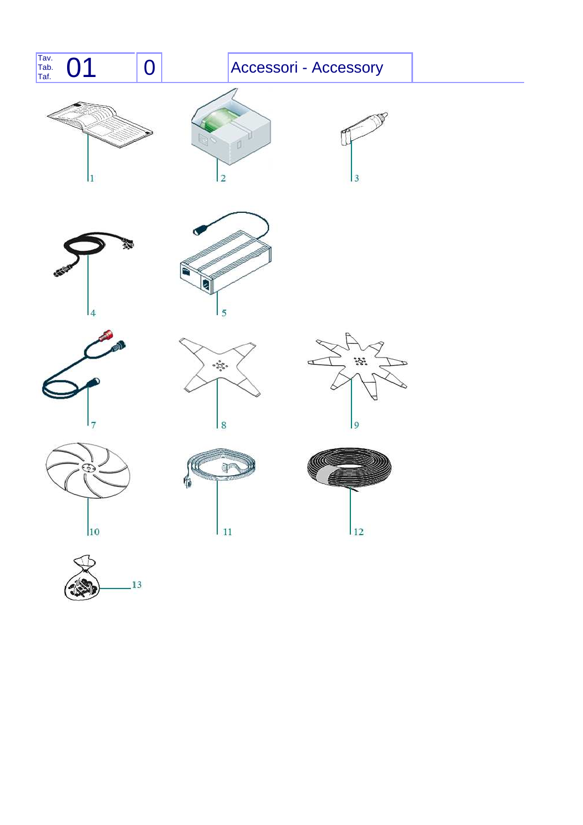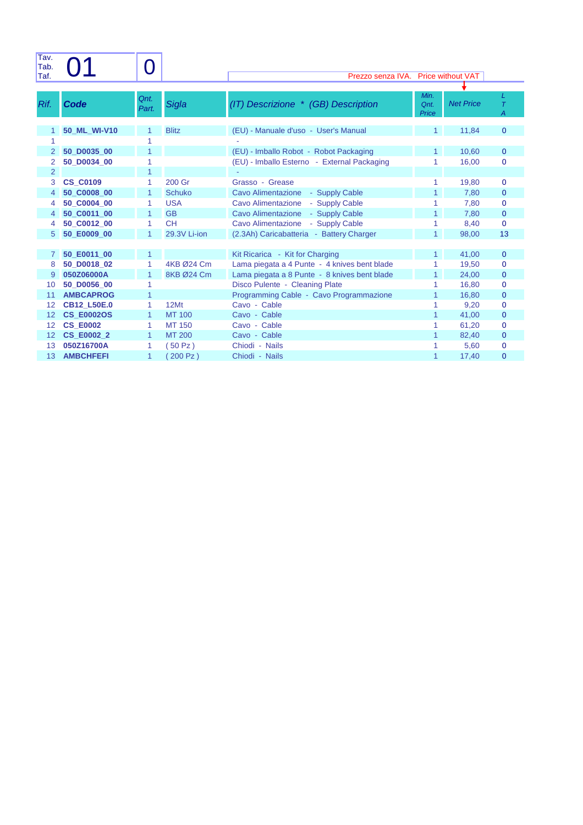| Tav.<br>Tab.   |                            |               |               |                                                                                 |                       |                  |                   |
|----------------|----------------------------|---------------|---------------|---------------------------------------------------------------------------------|-----------------------|------------------|-------------------|
| Taf.           |                            |               |               | Prezzo senza IVA. Price without VAT                                             |                       |                  |                   |
|                |                            |               |               |                                                                                 |                       |                  |                   |
| Rif.           | Code                       | Qnt.<br>Part. | Sigla         | (IT) Descrizione * (GB) Description                                             | Min.<br>Qnt.<br>Price | <b>Net Price</b> | L<br>$\tau$<br>Α  |
| 1              | 50 ML WI-V10               |               | <b>Blitz</b>  | (EU) - Manuale d'uso - User's Manual                                            | $\mathbf{1}$          | 11,84            | $\mathbf{0}$      |
|                |                            |               |               |                                                                                 |                       |                  |                   |
| 2              | 50 D0035 00                |               |               | (EU) - Imballo Robot - Robot Packaging                                          |                       | 10,60            | $\mathbf 0$       |
|                | 50 D0034 00                |               |               | (EU) - Imballo Esterno - External Packaging                                     |                       | 16,00            | $\mathbf 0$       |
| $\overline{2}$ |                            | 1             |               |                                                                                 |                       |                  |                   |
| 3              | <b>CS C0109</b>            | 1             | 200 Gr        | Grasso - Grease                                                                 |                       | 19,80            | $\mathbf 0$       |
| 4              | 50 C0008 00                |               | <b>Schuko</b> | <b>Cavo Alimentazione</b><br>- Supply Cable                                     |                       | 7,80             | $\mathbf{0}$      |
| 4              | 50 C0004 00                | 1             | <b>USA</b>    | <b>Cavo Alimentazione</b><br>- Supply Cable                                     |                       | 7,80             | $\mathbf 0$       |
| 4              | 50 C0011 00                | 1             | <b>GB</b>     | - Supply Cable<br><b>Cavo Alimentazione</b>                                     |                       | 7,80             | $\mathbf{0}$      |
| 4              | 50 C0012 00                | 1             | <b>CH</b>     | Cavo Alimentazione<br>- Supply Cable                                            |                       | 8,40             | $\mathbf 0$       |
| 5              | 50 E0009 00                | 1             | 29.3V Li-ion  | (2.3Ah) Caricabatteria - Battery Charger                                        | $\mathbf{1}$          | 98,00            | 13                |
|                |                            |               |               |                                                                                 |                       |                  |                   |
| 7<br>8         | 50 E0011 00<br>50 D0018 02 | 1             | 4KB Ø24 Cm    | Kit Ricarica - Kit for Charging<br>Lama piegata a 4 Punte - 4 knives bent blade |                       | 41,00<br>19,50   | $\mathbf{0}$<br>0 |
| 9              | 050Z06000A                 |               | 8KB Ø24 Cm    | Lama piegata a 8 Punte - 8 knives bent blade                                    |                       | 24,00            | $\mathbf 0$       |
| 10             | 50 D0056 00                |               |               | Disco Pulente - Cleaning Plate                                                  |                       | 16,80            | $\mathbf 0$       |
| 11             | <b>AMBCAPROG</b>           |               |               | Programming Cable - Cavo Programmazione                                         |                       | 16,80            | $\mathbf{0}$      |
| 12             | <b>CB12_L50E.0</b>         | 1             | 12Mt          | Cavo - Cable                                                                    |                       | 9,20             | $\mathbf 0$       |
| 12             | <b>CS E0002OS</b>          | 1             | <b>MT 100</b> | Cavo - Cable                                                                    |                       | 41,00            | $\mathbf 0$       |
| 12             | <b>CS E0002</b>            | 1             | <b>MT 150</b> | Cavo - Cable                                                                    |                       | 61,20            | $\mathbf 0$       |
| 12             | <b>CS E0002 2</b>          | 1             | MT 200        | Cavo - Cable                                                                    |                       | 82,40            | $\mathbf{0}$      |
| 13             | 050Z16700A                 |               | 50 Pz)        | Chiodi - Nails                                                                  |                       | 5,60             | 0                 |
| 13             | <b>AMBCHFEFI</b>           | 1             | 200 Pz)       | Chiodi - Nails                                                                  |                       | 17,40            | $\overline{0}$    |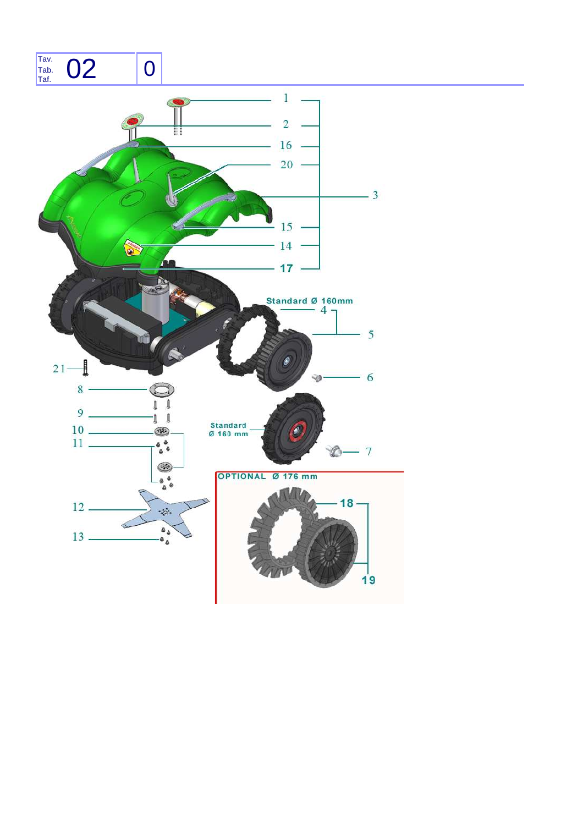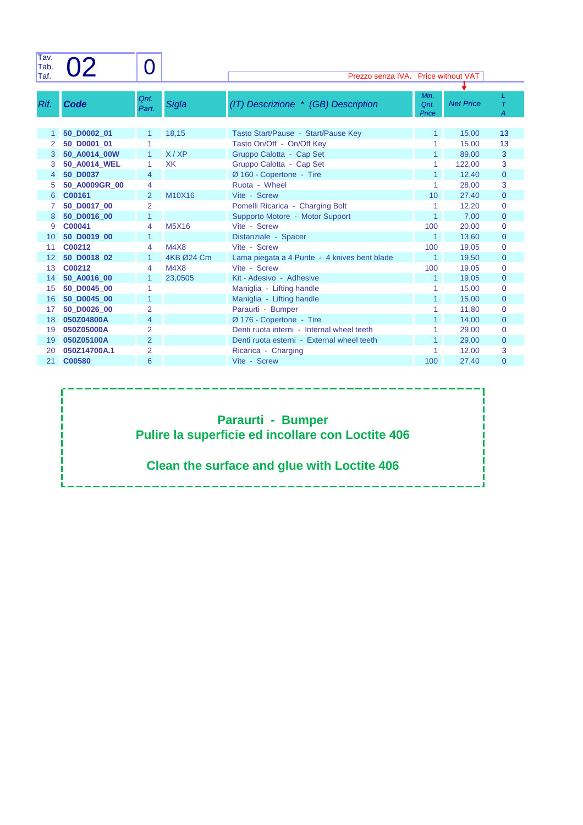| Tav.<br>Tab. |                            |                     |              |                                              |                       |                  |                     |
|--------------|----------------------------|---------------------|--------------|----------------------------------------------|-----------------------|------------------|---------------------|
| Taf.         |                            |                     |              | Prezzo senza IVA. Price without VAT          |                       |                  |                     |
| Rif.         | Code                       | Qnt.<br>Part.       | Sigla        | (IT) Descrizione * (GB) Description          | Min.<br>Qnt.<br>Price | <b>Net Price</b> | L<br>$\tau$<br>A    |
| 1            | 50 D0002 01                | 1                   | 18,15        | Tasto Start/Pause - Start/Pause Key          | 1.                    | 15,00            | 13                  |
| 2            | 50 D0001 01                | 1                   |              | Tasto On/Off - On/Off Key                    | 1                     | 15,00            | 13                  |
| 3            | 50 A0014 00W               | 1                   | X/XP         | Gruppo Calotta - Cap Set                     | 1                     | 89,00            | 3                   |
| 3            | 50 A0014 WEL               | 1                   | <b>XK</b>    | Gruppo Calotta - Cap Set                     |                       | 122,00           | 3                   |
| 4            | 50 D0037                   | 4                   |              | Ø 160 - Copertone - Tire                     |                       | 12,40            | $\mathbf 0$         |
| 5            | 50 A0009GR 00              | 4                   |              | Ruota - Wheel                                | 1                     | 28,00            | 3                   |
| 6            | C00161                     | $\overline{2}$      | M10X16       | Vite - Screw                                 | 10 <sup>1</sup>       | 27,40            | $\mathbf{0}$        |
| 7            | 50 D0017 00                | $\overline{2}$      |              | Pomelli Ricarica - Charging Bolt             | 1                     | 12,20            | $\mathbf 0$         |
| 8            | 50 D0016 00                | 1                   |              | Supporto Motore - Motor Support              |                       | 7,00             | $\mathbf{0}$        |
| 9            | C00041                     | 4                   | <b>M5X16</b> | Vite - Screw                                 | 100                   | 20,00            | $\overline{0}$      |
| 10           | 50 D0019 00                | 1                   |              | Distanziale - Spacer                         | $\mathbf{1}$          | 13,60            | $\mathbf{0}$        |
| 11           | C00212                     | 4                   | <b>M4X8</b>  | Vite - Screw                                 | 100                   | 19,05            | $\mathbf 0$         |
| 12           | 50 D0018 02                | 1                   | 4KB Ø24 Cm   | Lama piegata a 4 Punte - 4 knives bent blade | $\mathbf{1}$          | 19,50            | $\mathbf{0}$        |
| 13           | C00212                     | 4                   | <b>M4X8</b>  | Vite - Screw                                 | 100                   | 19,05            | $\mathbf{0}$        |
| 14           | 50 A0016 00                | 1                   | 23,0505      | Kit - Adesivo - Adhesive                     | 1                     | 19,05            | $\mathbf{0}$        |
| 15           | 50 D0045 00                |                     |              | Maniglia - Lifting handle                    |                       | 15,00            | $\mathbf{0}$        |
| 16           | 50 D0045 00                | 1                   |              | Maniglia - Lifting handle                    |                       | 15,00            | $\mathbf{0}$        |
| 17           | 50 D0026 00                | $\overline{2}$      |              | Paraurti - Bumper                            |                       | 11,80            | $\mathbf{0}$        |
| 18           | 050Z04800A                 | 4                   |              | Ø 176 - Copertone - Tire                     |                       | 14,00            | $\mathbf{0}$        |
| 19           | 050Z05000A                 | $\overline{2}$      |              | Denti ruota interni - Internal wheel teeth   |                       | 29,00            | $\mathbf{0}$        |
| 19<br>20     | 050Z05100A<br>050Z14700A.1 | $\overline{2}$<br>2 |              | Denti ruota esterni - External wheel teeth   | 1                     | 29,00            | $\mathbf{0}$        |
| 21           | C00580                     | 6                   |              | Ricarica - Charging<br>Vite - Screw          | 100                   | 12,00<br>27.40   | 3<br>$\overline{0}$ |

## **Paraurti - Bumper Pulire la superficie ed incollare con Loctite 406**

## **Clean the surface and glue with Loctite 406**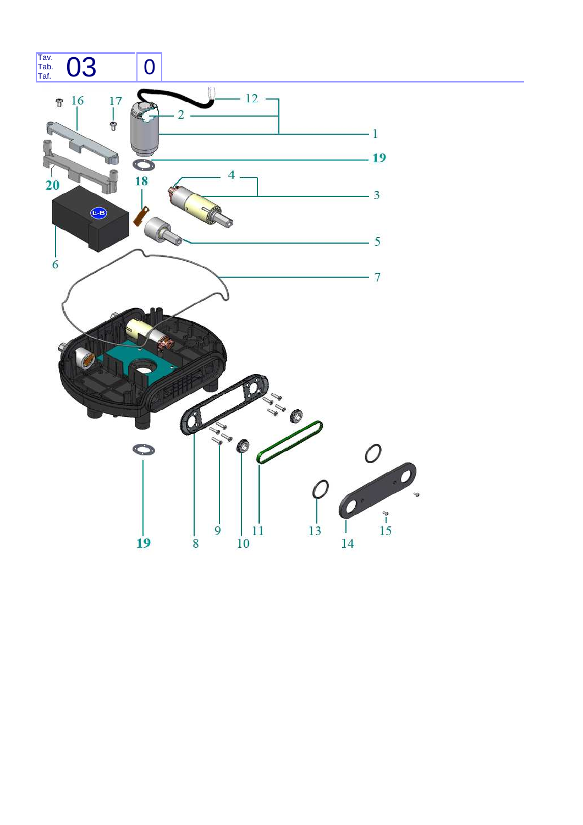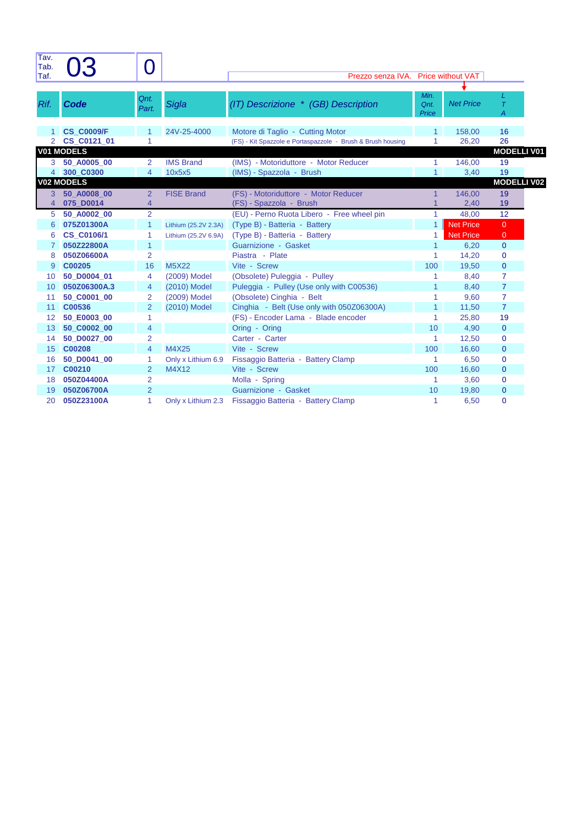| Tav.<br>Tab.   |                       |                                  |                             |                                                             |                          |                  |                              |  |
|----------------|-----------------------|----------------------------------|-----------------------------|-------------------------------------------------------------|--------------------------|------------------|------------------------------|--|
| Taf.           |                       |                                  |                             | Prezzo senza IVA.                                           | <b>Price without VAT</b> |                  |                              |  |
|                |                       |                                  |                             |                                                             |                          |                  |                              |  |
| Rif.           | Code                  | Qnt.<br>Part.                    | Sigla                       | (IT) Descrizione * (GB) Description                         | Min.<br>Qnt.<br>Price    | <b>Net Price</b> | L<br>$\tau$<br>Α             |  |
|                | <b>CS C0009/F</b>     |                                  | 24V-25-4000                 | Motore di Taglio - Cutting Motor                            | 1                        | 158,00           | 16                           |  |
| $\overline{2}$ | CS C0121 01           |                                  |                             | (FS) - Kit Spazzole e Portaspazzole - Brush & Brush housing | 1                        | 26,20            | 26                           |  |
|                | <b>V01 MODELS</b>     |                                  |                             |                                                             |                          |                  | <b>MODELLI V01</b>           |  |
| 3.             | 50 A0005 00           | 2                                | <b>IMS Brand</b>            | (IMS) - Motoriduttore - Motor Reducer                       | $\mathbf{1}$             | 146.00           | 19                           |  |
| $\overline{4}$ | 300 C0300             | 4                                | 10x5x5                      | (IMS) - Spazzola - Brush                                    | 1                        | 3,40             | 19                           |  |
|                | <b>V02 MODELS</b>     |                                  |                             |                                                             |                          |                  | <b>MODELLI V02</b>           |  |
| 3              | 50 A0008 00           | 2                                | <b>FISE Brand</b>           | (FS) - Motoriduttore - Motor Reducer                        | 1                        | 146,00           | 19                           |  |
| $\overline{4}$ | 075 D0014             | $\overline{4}$                   |                             | (FS) - Spazzola - Brush                                     |                          | 2,40             | 19                           |  |
| 5              | 50 A0002 00           | $\overline{2}$                   |                             | (EU) - Perno Ruota Libero - Free wheel pin                  | $\mathbf{1}$             | 48,00            | 12                           |  |
| 6              | 075Z01300A            | 1                                | Lithium (25.2V 2.3A)        | (Type B) - Batteria - Battery                               | 1                        | <b>Net Price</b> | $\overline{0}$               |  |
| 6              | <b>CS C0106/1</b>     |                                  | Lithium (25.2V 6.9A)        | (Type B) - Batteria - Battery                               | 1                        | <b>Net Price</b> | $\mathbf{0}$                 |  |
| 7              | 050Z22800A            | 1                                |                             | Guarnizione - Gasket                                        | 1                        | 6,20             | $\mathbf{0}$                 |  |
| 8              | 050Z06600A            | $\overline{2}$                   |                             | Piastra - Plate                                             | 1                        | 14,20            | 0                            |  |
| 9              | C00205                | 16                               | <b>M5X22</b>                | Vite - Screw                                                | 100                      | 19,50            | $\mathbf 0$                  |  |
| 10             | 50 D0004 01           | 4                                | (2009) Model                | (Obsolete) Puleggia - Pulley                                | 1                        | 8,40             | $\overline{7}$               |  |
| 10             | 050Z06300A.3          | 4                                | (2010) Model                | Puleggia - Pulley (Use only with C00536)                    | 1                        | 8,40             | $\overline{7}$               |  |
| 11             | 50 C0001 00           | $\overline{2}$                   | (2009) Model                | (Obsolete) Cinghia - Belt                                   | 1                        | 9,60             | $\overline{7}$               |  |
| 11             | C00536                | $\overline{2}$                   | (2010) Model                | Cinghia - Belt (Use only with 050Z06300A)                   | 1                        | 11,50            | $\overline{7}$               |  |
| 12             | 50 E0003 00           | 1                                |                             | (FS) - Encoder Lama - Blade encoder                         | 1                        | 25,80            | 19                           |  |
| 13             | 50_C0002_00           | 4                                |                             | Oring - Oring                                               | 10                       | 4,90             | $\mathbf{0}$                 |  |
| 14             | 50_D0027_00           | $\overline{2}$                   | M4X25                       | Carter - Carter                                             | 1                        | 12,50            | 0                            |  |
| 15             | C00208                | 4                                |                             | Vite - Screw                                                | 100                      | 16,60            | $\mathbf{0}$                 |  |
| 16<br>17       | 50 D0041 00<br>C00210 | 1<br>$\overline{2}$              | Only x Lithium 6.9<br>M4X12 | Fissaggio Batteria - Battery Clamp<br>Vite - Screw          | 1<br>100                 | 6,50             | $\mathbf{0}$<br>$\mathbf{0}$ |  |
|                | 050Z04400A            |                                  |                             |                                                             |                          | 16,60            |                              |  |
| 18<br>19       | 050Z06700A            | $\overline{2}$<br>$\overline{2}$ |                             | Molla - Spring<br>Guarnizione - Gasket                      | 1<br>10                  | 3,60<br>19,80    | $\mathbf{0}$<br>$\mathbf{0}$ |  |
| 20             | 050Z23100A            | 1                                | Only x Lithium 2.3          | Fissaggio Batteria - Battery Clamp                          | 1                        | 6,50             | $\mathbf 0$                  |  |
|                |                       |                                  |                             |                                                             |                          |                  |                              |  |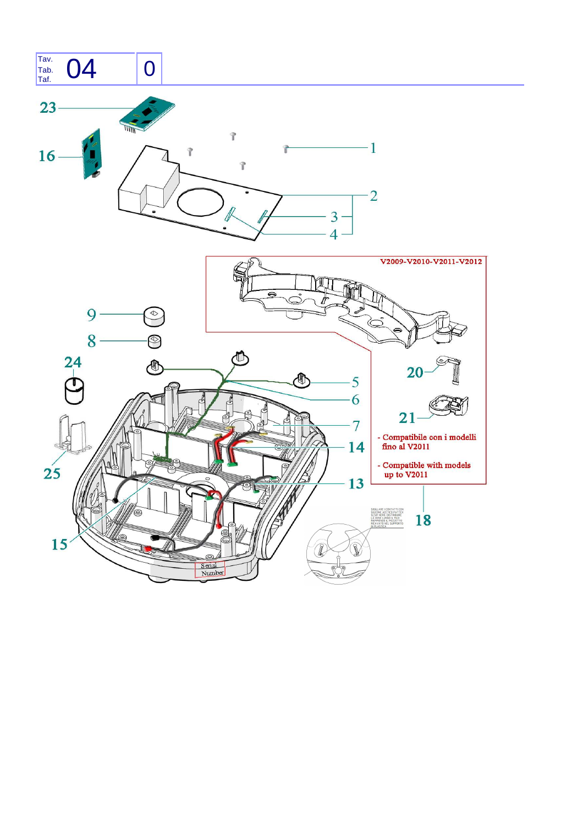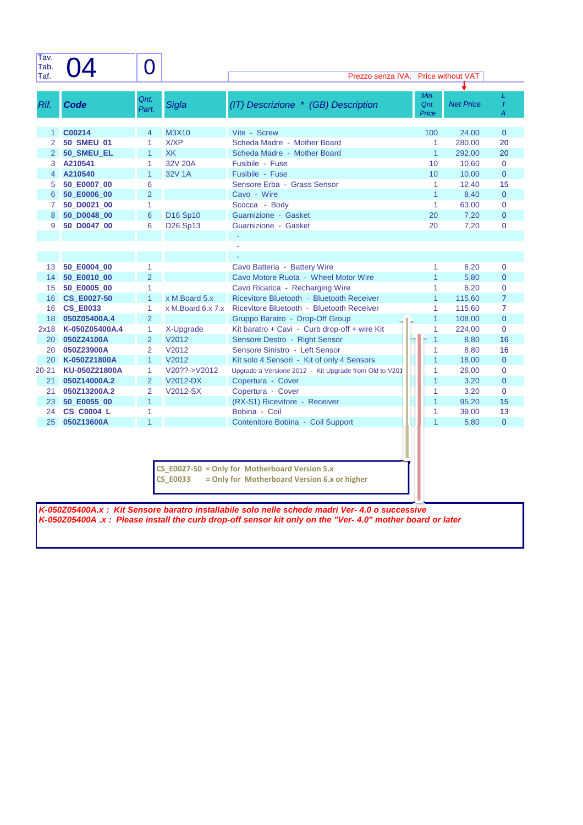| Tav.<br>Tab.<br>Taf. |                    | $\overline{O}$ |                                  | Prezzo senza IVA.                                      |                       | <b>Price without VAT</b> |                  |
|----------------------|--------------------|----------------|----------------------------------|--------------------------------------------------------|-----------------------|--------------------------|------------------|
|                      |                    |                |                                  |                                                        |                       |                          |                  |
| Rif.                 | <b>Code</b>        | Qnt.<br>Part.  | Sigla                            | (IT) Descrizione * (GB) Description                    | Min.<br>Qnt.<br>Price | <b>Net Price</b>         | L<br>$\tau$<br>A |
| 1                    | C00214             | $\overline{4}$ | M3X10                            | Vite - Screw                                           | 100                   | 24,00                    | $\mathbf{0}$     |
| 2                    | <b>50 SMEU 01</b>  | $\mathbf{1}$   | X/XP                             | Scheda Madre - Mother Board                            | 1                     | 280,00                   | 20               |
| 2                    | 50_SMEU_EL         | $\mathbf{1}$   | <b>XK</b>                        | Scheda Madre - Mother Board                            | $\mathbf{1}$          | 292,00                   | 20               |
| 3                    | A210541            | 1              | 32V 20A                          | Fusibile - Fuse                                        | 10                    | 10,60                    | $\mathbf 0$      |
| 4                    | A210540            | $\mathbf{1}$   | 32V 1A                           | Fusibile - Fuse                                        | 10                    | 10,00                    | $\mathbf{0}$     |
| 5                    | 50 E0007 00        | 6              |                                  | Sensore Erba - Grass Sensor                            | 1                     | 12,40                    | 15               |
| 6                    | 50_E0006_00        | $\overline{2}$ |                                  | Cavo - Wire                                            | $\overline{1}$        | 8,40                     | $\mathbf{0}$     |
| 7                    | 50 D0021 00        | 1              |                                  | Scocca - Body                                          | $\mathbf{1}$          | 63,00                    | $\mathbf{0}$     |
| 8                    | 50_D0048_00        | 6              | D16 Sp10                         | Guarnizione - Gasket                                   | 20                    | 7,20                     | $\pmb{0}$        |
| 9                    | 50 D0047 00        | 6              | D <sub>26</sub> Sp <sub>13</sub> | Guarnizione - Gasket                                   | 20                    | 7,20                     | $\mathbf{0}$     |
|                      |                    |                |                                  |                                                        |                       |                          |                  |
|                      |                    |                |                                  |                                                        |                       |                          |                  |
|                      |                    |                |                                  |                                                        |                       |                          |                  |
| 13                   | 50 E0004 00        | 1              |                                  | Cavo Batteria - Battery Wire                           | 1                     | 6,20                     | $\mathbf{0}$     |
| 14                   | 50 E0010 00        | $\overline{2}$ |                                  | Cavo Motore Ruota - Wheel Motor Wire                   | $\overline{1}$        | 5,80                     | $\mathbf{0}$     |
| 15                   | 50 E0005 00        | $\mathbf{1}$   |                                  | Cavo Ricarica - Recharging Wire                        | 1                     | 6,20                     | $\mathbf{0}$     |
| 16                   | <b>CS E0027-50</b> | $\mathbf{1}$   | x M.Board 5.x                    | Ricevitore Bluetooth - Bluetooth Receiver              | $\mathbf{1}$          | 115,60                   | $\overline{7}$   |
| 16                   | <b>CS_E0033</b>    | $\mathbf{1}$   | x M.Board 6.x 7.x                | Ricevitore Bluetooth - Bluetooth Receiver              | 1                     | 115,60                   | $\overline{7}$   |
| 18                   | 050Z05400A.4       | 2              |                                  | Gruppo Baratro - Drop-Off Group                        | 1                     | 108,00                   | $\mathbf{0}$     |
| 2x18                 | K-050Z05400A.4     | 1              | X-Upgrade                        | Kit baratro + Cavi - Curb drop-off + wire Kit          | 1                     | 224,00                   | $\Omega$         |
| 20                   | 050Z24100A         | $\overline{2}$ | V2012                            | Sensore Destro - Right Sensor                          | $\mathbf{1}$          | 8,80                     | 16               |
| 20                   | 050Z23900A         | 2              | V2012                            | Sensore Sinistro - Left Sensor                         | $\mathbf{1}$          | 8,80                     | 16               |
| 20                   | K-050Z21800A       | $\mathbf{1}$   | V2012                            | Kit solo 4 Sensori - Kit of only 4 Sensors             | $\overline{1}$        | 18,00                    | $\mathbf{0}$     |
| $20 - 21$            | KU-050Z21800A      | $\mathbf{1}$   | V20??->V2012                     | Upgrade a Versione 2012 - Kit Upgrade from Old to V201 | 1                     | 26,00                    | $\overline{0}$   |
| 21                   | 050Z14000A.2       | 2              | V2012-DX                         | Copertura - Cover                                      | $\overline{1}$        | 3,20                     | $\mathbf{0}$     |
| 21                   | 050Z13200A.2       | $\overline{2}$ | V2012-SX                         | Copertura - Cover                                      | 1                     | 3,20                     | $\mathbf{0}$     |
| 23                   | 50_E0055_00        | $\overline{1}$ |                                  | (RX-S1) Ricevitore - Receiver                          | $\mathbf{1}$          | 95,20                    | 15               |
| 24                   | <b>CS C0004 L</b>  | 1              |                                  | Bobina - Coil                                          | 1                     | 39,00                    | 13               |
| 25                   | 050Z13600A         | $\overline{1}$ |                                  | Contenitore Bobina - Coil Support                      | $\overline{1}$        | 5,80                     | $\mathbf{0}$     |
|                      |                    |                |                                  | $CS_E0027-50 =$ Only for Motherboard Version 5.x       |                       |                          |                  |

**CS\_E0033 = Only for Motherboard Version 6.x or higher**

**K-050Z05400A.x : Kit Sensore baratro installabile solo nelle schede madri Ver- 4.0 o successive K-050Z05400A .x : Please install the curb drop-off sensor kit only on the "Ver- 4.0" mother board or later**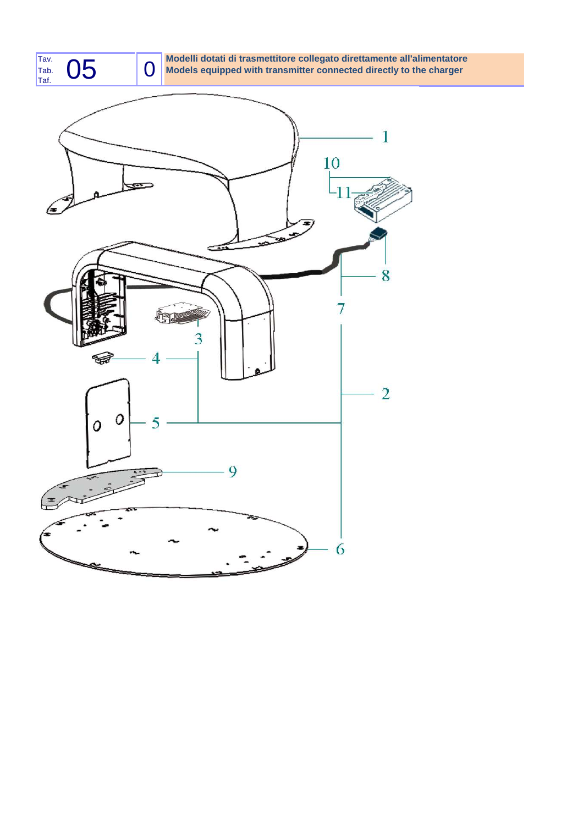

Tav. **Modelli dotati di trasmettitore collegato direttamente all'alimentatore** Tab. **(I)** Models equipped with transmitter connected directly to the charger

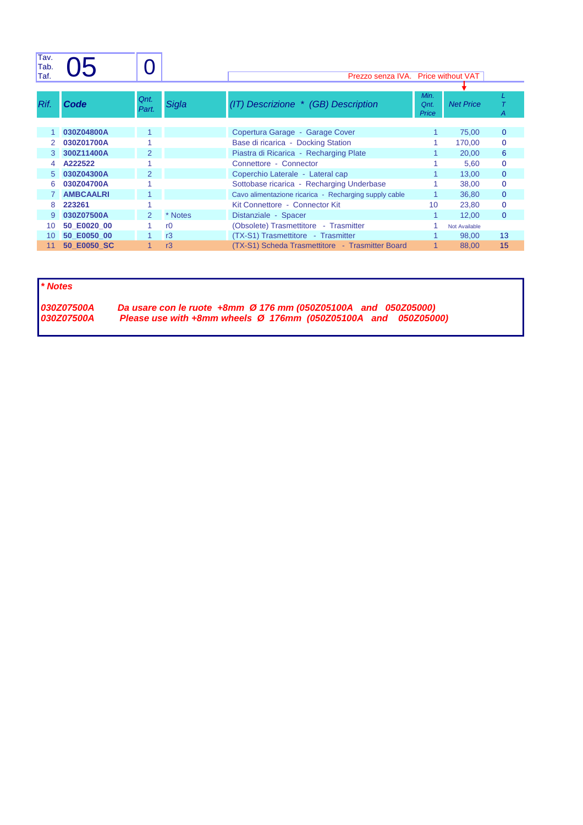| Tav.<br>Tab. |                  |                |                |                                                       |                       |                  |              |
|--------------|------------------|----------------|----------------|-------------------------------------------------------|-----------------------|------------------|--------------|
| Taf.         |                  |                |                | Prezzo senza IVA. Price without VAT                   |                       |                  |              |
|              |                  |                |                |                                                       |                       |                  |              |
| Rif.         | Code             | Qnt.<br>Part.  | Sigla          | (IT) Descrizione * (GB) Description                   | Min.<br>Qnt.<br>Price | <b>Net Price</b> | Α            |
|              | 030Z04800A       |                |                | Copertura Garage - Garage Cover                       |                       | 75,00            | $\mathbf{0}$ |
|              | 030Z01700A       |                |                | Base di ricarica - Docking Station                    |                       | 170,00           | 0            |
| 3            | 300Z11400A       | $\overline{2}$ |                | Piastra di Ricarica - Recharging Plate                |                       | 20,00            | 6            |
| 4            | A222522          |                |                | Connettore - Connector                                |                       | 5,60             | $\mathbf{0}$ |
| 5            | 030Z04300A       | $\overline{2}$ |                | Coperchio Laterale - Lateral cap                      |                       | 13,00            | $\mathbf{0}$ |
| 6            | 030Z04700A       |                |                | Sottobase ricarica - Recharging Underbase             |                       | 38,00            | $\mathbf{0}$ |
|              | <b>AMBCAALRI</b> |                |                | Cavo alimentazione ricarica - Recharging supply cable |                       | 36,80            | $\mathbf{0}$ |
| 8            | 223261           |                |                | Kit Connettore - Connector Kit                        | 10                    | 23,80            | $\mathbf{0}$ |
| 9            | 030Z07500A       | 2              | * Notes        | Distanziale - Spacer                                  |                       | 12.00            | $\mathbf{0}$ |
| 10           | 50 E0020 00      |                | r <sub>0</sub> | (Obsolete) Trasmettitore - Trasmitter                 |                       | Not Available    |              |
| 10           | 50 E0050 00      |                | r3             | (TX-S1) Trasmettitore - Trasmitter                    |                       | 98,00            | 13           |
| 11           | 50 E0050 SC      |                | r3             | (TX-S1) Scheda Trasmettitore - Trasmitter Board       |                       | 88,00            | 15           |

**\* Notes**

**030Z07500A Da usare con le ruote +8mm Ø 176 mm (050Z05100A and 050Z05000) 030Z07500A Please use with +8mm wheels Ø 176mm (050Z05100A and 050Z05000)**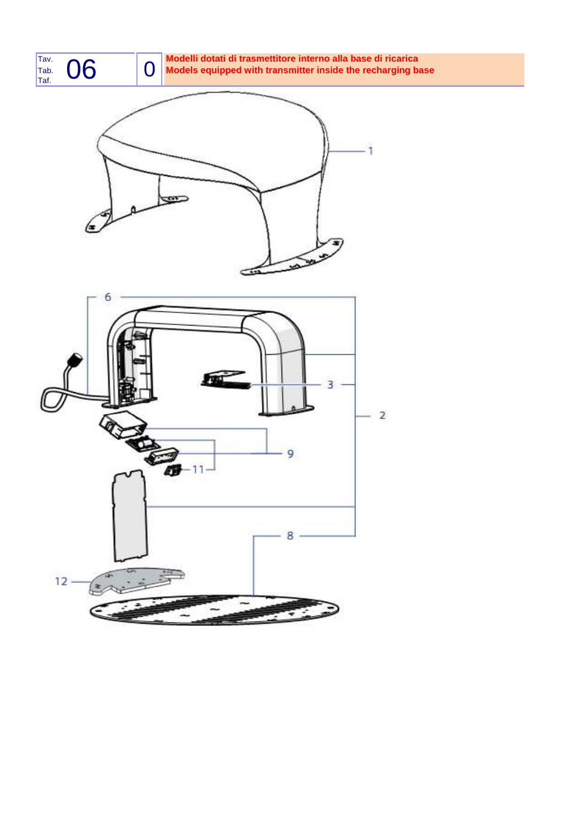

## Tav. **Modelli dotati di trasmettitore interno alla base di ricarica** Tab. **Models equipped with transmitter inside the recharging base**